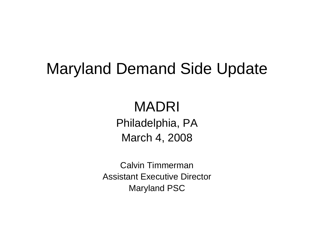### Maryland Demand Side Update

### MADRIPhiladelphia, PA March 4, 2008

Calvin TimmermanAssistant Executive DirectorMaryland PSC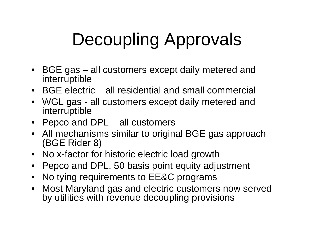# Decoupling Approvals

- BGE gas all customers except daily metered and interruptible
- BGE electric all residential and small commercial
- WGL gas all customers except daily metered and interruptible
- Pepco and DPL all customers
- All mechanisms similar to original BGE gas approach (BGE Rider 8)
- No x-factor for historic electric load growth
- Pepco and DPL, 50 basis point equity adjustment
- No tying requirements to EE&C programs
- Most Maryland gas and electric customers now served by utilities with revenue decoupling provisions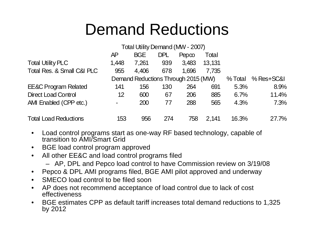### Demand Reductions

|                                 |                | Total Utility Demand (MW - 2007)    |            |             |        |         |            |
|---------------------------------|----------------|-------------------------------------|------------|-------------|--------|---------|------------|
|                                 | AΡ             | <b>BGE</b>                          | <b>DPL</b> | $Pep\infty$ | Total  |         |            |
| <b>Total Utility PLC</b>        | 1,448          | 7,261                               | 939        | 3,483       | 13,131 |         |            |
| Total Res. & Small C&I PLC      | 955            | 4,406                               | 678        | 1,696       | 7,735  |         |            |
|                                 |                | Demand Reductions Through 2015 (MW) |            |             |        | % Total | % Res+SC&I |
| <b>EE&amp;C Program Related</b> | 141            | 156                                 | 130        | 264         | 691    | 5.3%    | 8.9%       |
| <b>Direct Load Control</b>      | 12             | 600                                 | 67         | 206         | 885    | 6.7%    | 11.4%      |
| AMI Enabled (CPP etc.)          | $\blacksquare$ | 200                                 | 77         | 288         | 565    | 4.3%    | 7.3%       |
| <b>Total Load Reductions</b>    | 153            | 956                                 | 274        | 758         | 2,141  | 16.3%   | 27.7%      |

- Load control programs start as one-way RF based technology, capable of transition to AMI/Smart Grid
- BGE load control program approved
- All other EE&C and load control programs filed
	- AP, DPL and Pepco load control to have Commission review on 3/19/08
- Pepco & DPL AMI programs filed, BGE AMI pilot approved and underway
- SMECO load control to be filed soon
- AP does not recommend acceptance of load control due to lack of cost effectiveness
- BGE estimates CPP as default tariff increases total demand reductions to 1,325 by 2012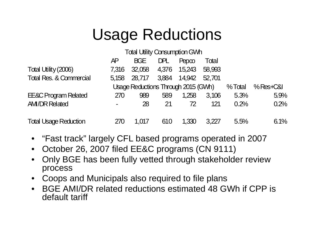## Usage Reductions

|                                    | <b>Total Utility Consumption GWh</b> |                                     |       |              |        |        |             |  |  |
|------------------------------------|--------------------------------------|-------------------------------------|-------|--------------|--------|--------|-------------|--|--|
|                                    | <b>AP</b>                            | <b>BGE</b>                          | DPL   | Pepco        | Total  |        |             |  |  |
| Total Utility (2006)               | 7.316                                | 32,058                              | 4,376 | 15,243       | 58,993 |        |             |  |  |
| <b>Total Res. &amp; Commercial</b> | 5.158                                | 28,717                              |       | 3,884 14,942 | 52.701 |        |             |  |  |
|                                    |                                      | Usage Reductions Through 2015 (GWh) |       |              |        | %Total | $%$ Res+C&I |  |  |
| <b>EE&amp;C Program Related</b>    | 270                                  | 989                                 | 589   | 1.258        | 3.106  | 5.3%   | 5.9%        |  |  |
| <b>AM/DR Related</b>               | $\blacksquare$                       | 28                                  | 21    | 72           | 121    | 0.2%   | 0.2%        |  |  |
| <b>Total Usage Reduction</b>       | 270                                  | 1,017                               | 610   | 1,330        | 3.227  | 5.5%   | 6.1%        |  |  |

- "Fast track" largely CFL based programs operated in 2007
- October 26, 2007 filed EE&C programs (CN 9111)
- Only BGE has been fully vetted through stakeholder review process
- Coops and Municipals also required to file plans
- BGE AMI/DR related reductions estimated 48 GWh if CPP is default tariff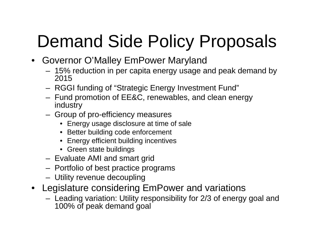## Demand Side Policy Proposals

- Governor O'Malley EmPower Maryland
	- 15% reduction in per capita energy usage and peak demand by 2015
	- RGGI funding of "Strategic Energy Investment Fund"
	- Fund promotion of EE&C, renewables, and clean energy industry
	- Group of pro-efficiency measures
		- Energy usage disclosure at time of sale
		- Better building code enforcement
		- Energy efficient building incentives
		- Green state buildings
	- Evaluate AMI and smart grid
	- Portfolio of best practice programs
	- Utility revenue decoupling
- Legislature considering EmPower and variations
	- Leading variation: Utility responsibility for 2/3 of energy goal and 100% of peak demand goal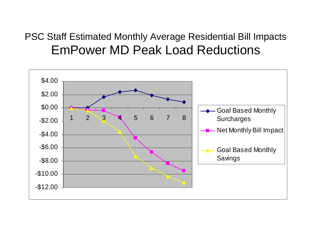#### PSC Staff Estimated Monthly Average Residential Bill Impacts EmPower MD Peak Load Reductions

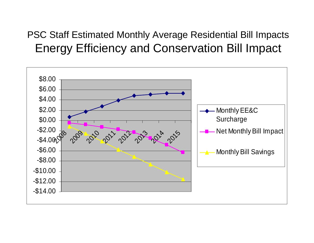#### PSC Staff Estimated Monthly Average Residential Bill Impacts Energy Efficiency and Conservation Bill Impact